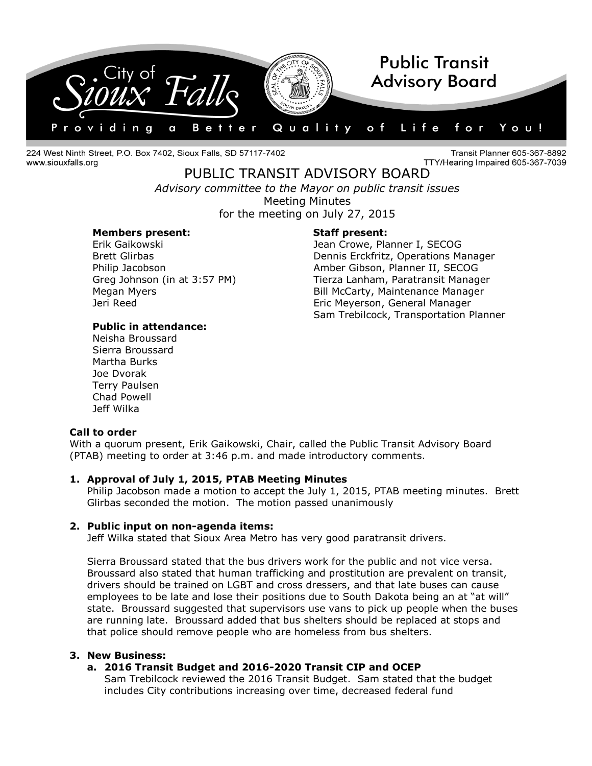

224 West Ninth Street, P.O. Box 7402, Sioux Falls, SD 57117-7402 www.siouxfalls.org

Transit Planner 605-367-8892 TTY/Hearing Impaired 605-367-7039

PUBLIC TRANSIT ADVISORY BOARD *Advisory committee to the Mayor on public transit issues* Meeting Minutes

for the meeting on July 27, 2015

#### **Members present: Staff present:**

Erik Gaikowski Jean Crowe, Planner I, SECOG Brett Glirbas **Dennis Erckfritz, Operations Manager** Philip Jacobson Amber Gibson, Planner II, SECOG Greg Johnson (in at 3:57 PM) Tierza Lanham, Paratransit Manager Megan Myers Bill McCarty, Maintenance Manager Jeri Reed Eric Meyerson, General Manager Sam Trebilcock, Transportation Planner

# **Public in attendance:**

Neisha Broussard Sierra Broussard Martha Burks Joe Dvorak Terry Paulsen Chad Powell Jeff Wilka

#### **Call to order**

With a quorum present, Erik Gaikowski, Chair, called the Public Transit Advisory Board (PTAB) meeting to order at 3:46 p.m. and made introductory comments.

# **1. Approval of July 1, 2015, PTAB Meeting Minutes**

Philip Jacobson made a motion to accept the July 1, 2015, PTAB meeting minutes. Brett Glirbas seconded the motion. The motion passed unanimously

### **2. Public input on non-agenda items:**

Jeff Wilka stated that Sioux Area Metro has very good paratransit drivers.

Sierra Broussard stated that the bus drivers work for the public and not vice versa. Broussard also stated that human trafficking and prostitution are prevalent on transit, drivers should be trained on LGBT and cross dressers, and that late buses can cause employees to be late and lose their positions due to South Dakota being an at "at will" state. Broussard suggested that supervisors use vans to pick up people when the buses are running late. Broussard added that bus shelters should be replaced at stops and that police should remove people who are homeless from bus shelters.

### **3. New Business:**

# **a. 2016 Transit Budget and 2016-2020 Transit CIP and OCEP**

Sam Trebilcock reviewed the 2016 Transit Budget. Sam stated that the budget includes City contributions increasing over time, decreased federal fund